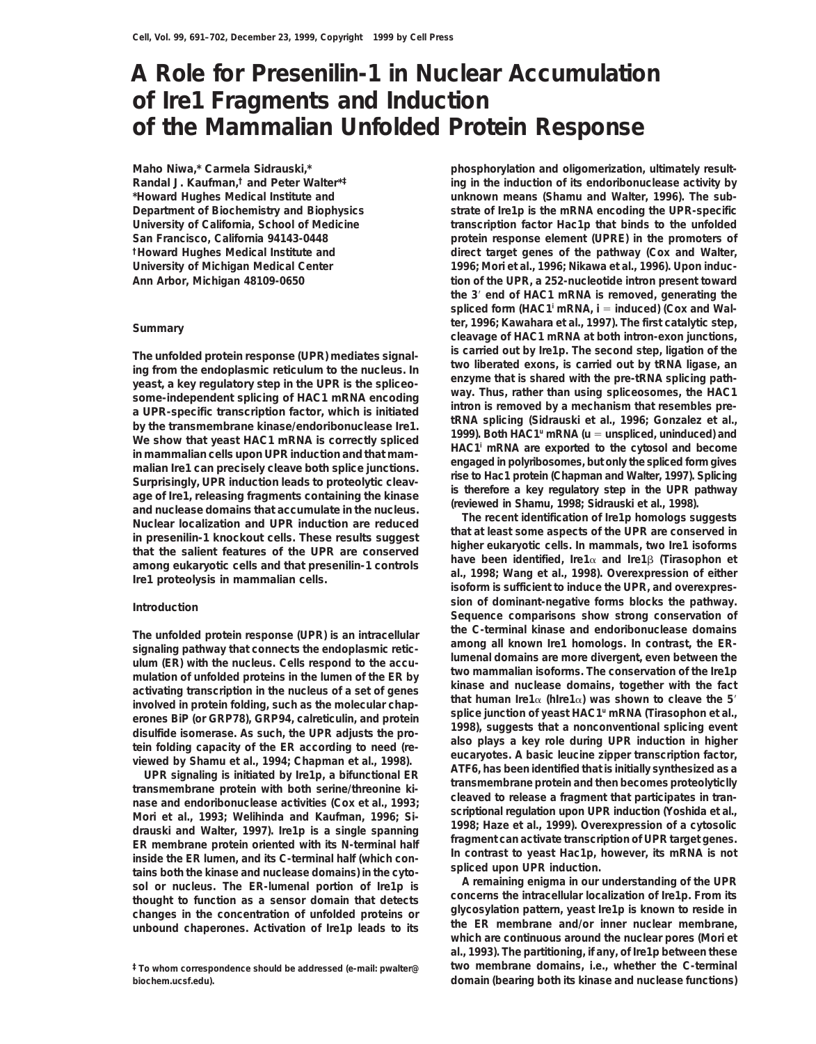# **A Role for Presenilin-1 in Nuclear Accumulation of Ire1 Fragments and Induction of the Mammalian Unfolded Protein Response**

### **Maho Niwa,\* Carmela Sidrauski,\***

**Randal J. Kaufman,† and Peter Walter\*‡ \*Howard Hughes Medical Institute and Department of Biochemistry and Biophysics University of California, School of Medicine**

The unfolded protein response (UPR) mediates signal-<br>
is carried out by Ire1p. The second step, ligation of the<br>
ing from the endplasmic reticulum to the nucleus. In<br>
yeast, a key regulatory step in the UPR is the spliceo

**phosphorylation and oligomerization, ultimately resulting in the induction of its endoribonuclease activity by unknown means (Shamu and Walter, 1996). The substrate of Ire1p is the mRNA encoding the UPR-specific transcription factor Hac1p that binds to the unfolded** San Francisco, California 94143-0448 **protein response element (UPRE)** in the promoters of **direct target genes of the pathway (Cox and Walter, †Howard Hughes Medical Institute and** University of Michigan Medical Center **1996**; Mori et al., 1996; Mikawa et al., 1996). Upon induc-**Ann Arbor, Michigan 48109-0650 tion of the UPR, a 252-nucleotide intron present toward the 3**9 **end of** *HAC1* **mRNA is removed, generating the** spliced form  $(HAC1^i)$  mRNA,  $i =$  induced) (Cox and Wal**ter, 1996; Kawahara et al., 1997). The first catalytic step, Summary cleavage of** *HAC1* **mRNA at both intron-exon junctions,**

**sion of dominant-negative forms blocks the pathway. Introduction Sequence comparisons show strong conservation of**<br>Sequence comparisons show strong conservation of The unfolded protein response (UPR) is an intracellular<br>
the C-terminal kinase and endodinounclease domains<br>
signaling pathway that connects the endoptaismic retic-<br>
ultural kinase and mediators of a set of genes<br>
ultural

**al., 1993). The partitioning, if any, of Ire1p between these ‡To whom correspondence should be addressed (e-mail: pwalter@ two membrane domains, i.e., whether the C-terminal biochem.ucsf.edu). domain (bearing both its kinase and nuclease functions)**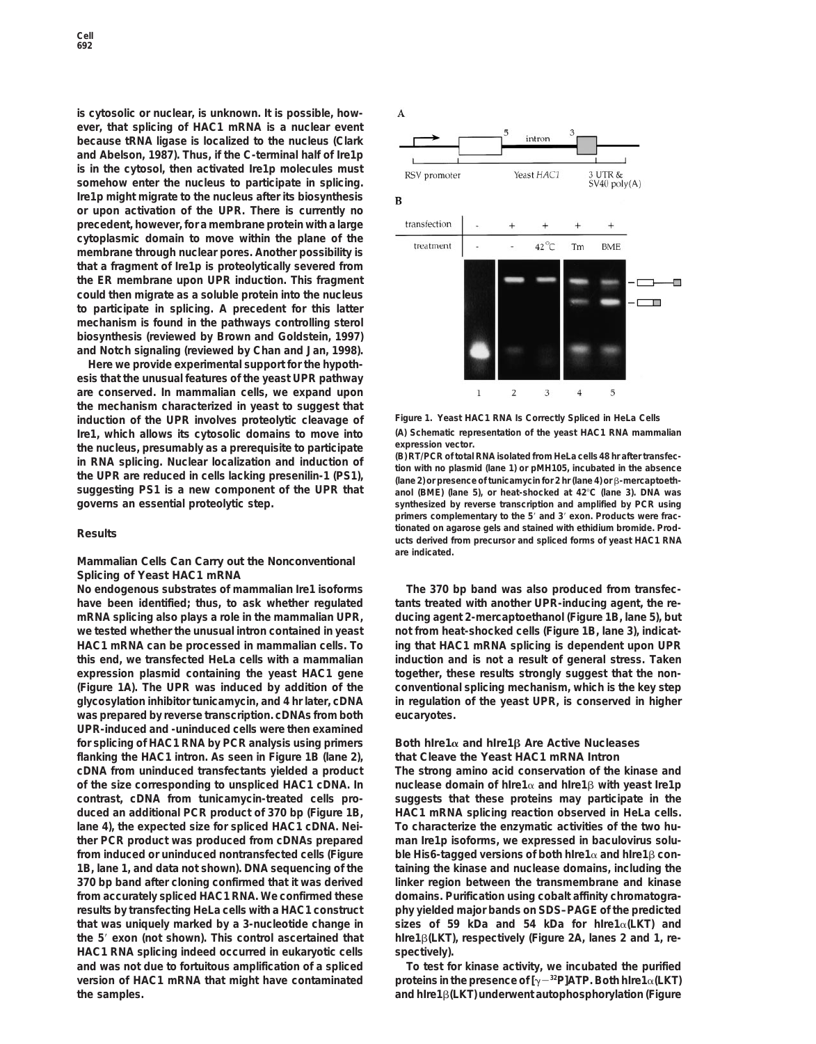**is cytosolic or nuclear, is unknown. It is possible, however, that splicing of** *HAC1* **mRNA is a nuclear event because tRNA ligase is localized to the nucleus (Clark and Abelson, 1987). Thus, if the C-terminal half of Ire1p is in the cytosol, then activated Ire1p molecules must somehow enter the nucleus to participate in splicing. Ire1p might migrate to the nucleus after its biosynthesis or upon activation of the UPR. There is currently no precedent, however, for a membrane protein with a large cytoplasmic domain to move within the plane of the membrane through nuclear pores. Another possibility is that a fragment of Ire1p is proteolytically severed from the ER membrane upon UPR induction. This fragment could then migrate as a soluble protein into the nucleus to participate in splicing. A precedent for this latter mechanism is found in the pathways controlling sterol biosynthesis (reviewed by Brown and Goldstein, 1997) and Notch signaling (reviewed by Chan and Jan, 1998).**

**Here we provide experimental support for the hypothesis that the unusual features of the yeast UPR pathway are conserved. In mammalian cells, we expand upon the mechanism characterized in yeast to suggest that Figure 1. Yeast** *HAC1* **RNA Is Correctly Spliced in HeLa Cells induction of the UPR involves proteolytic cleavage of Ire1, which allows its cytosolic domains to move into (A) Schematic representation of the yeast** *HAC1* **RNA mammalian** the nucleus, presumably as a prerequisite to participate<br>in RNA splicing. Nuclear localization and induction of<br>the UPR are reduced in cells lacking presentilin-1 (PS1),<br>suggesting PS1 is a new component of the UPR that<br>a **governs an essential proteolytic step. synthesized by reverse transcription and amplified by PCR using**

# **Mammalian Cells Can Carry out the Nonconventional Splicing of Yeast** *HAC1* **mRNA**

**No endogenous substrates of mammalian Ire1 isoforms The 370 bp band was also produced from transfechave been identified; thus, to ask whether regulated tants treated with another UPR-inducing agent, the remRNA splicing also plays a role in the mammalian UPR, ducing agent 2-mercaptoethanol (Figure 1B, lane 5), but we tested whether the unusual intron contained in yeast not from heat-shocked cells (Figure 1B, lane 3), indicat-***HAC1* **mRNA can be processed in mammalian cells. To ing that** *HAC1* **mRNA splicing is dependent upon UPR this end, we transfected HeLa cells with a mammalian induction and is not a result of general stress. Taken expression plasmid containing the yeast** *HAC1* **gene together, these results strongly suggest that the non- (Figure 1A). The UPR was induced by addition of the conventional splicing mechanism, which is the key step glycosylation inhibitor tunicamycin, and 4 hr later, cDNA in regulation of the yeast UPR, is conserved in higher was prepared by reverse transcription. cDNAs from both eucaryotes. UPR-induced and -uninduced cells were then examined for splicing of** *HAC1* **RNA by PCR analysis using primers Both hIre1**a **and hIre1**b **Are Active Nucleases flanking the** *HAC1* **intron. As seen in Figure 1B (lane 2), that Cleave the Yeast** *HAC1* **mRNA Intron cDNA from uninduced transfectants yielded a product The strong amino acid conservation of the kinase and of the size corresponding to unspliced** *HAC1* **cDNA. In nuclease domain of hIre1**a **and hIre1**b **with yeast Ire1p contrast, cDNA from tunicamycin-treated cells pro- suggests that these proteins may participate in the duced an additional PCR product of 370 bp (Figure 1B,** *HAC1* **mRNA splicing reaction observed in HeLa cells. lane 4), the expected size for spliced** *HAC1* **cDNA. Nei- To characterize the enzymatic activities of the two huther PCR product was produced from cDNAs prepared man Ire1p isoforms, we expressed in baculovirus solufrom induced or uninduced nontransfected cells (Figure ble His6-tagged versions of both hIre1**a **and hIre1**b **con-1B, lane 1, and data not shown). DNA sequencing of the taining the kinase and nuclease domains, including the 370 bp band after cloning confirmed that it was derived linker region between the transmembrane and kinase from accurately spliced** *HAC1* **RNA. We confirmed these domains. Purification using cobalt affinity chromatograresults by transfecting HeLa cells with a** *HAC1* **construct phy yielded major bands on SDS–PAGE of the predicted that was uniquely marked by a 3-nucleotide change in sizes of 59 kDa and 54 kDa for hIre1**a**(LKT) and** the 5' exon (not shown). This control ascertained that hIre1 $\beta$ (LKT), respectively (Figure 2A, lanes 2 and 1, re-*HAC1* **RNA splicing indeed occurred in eukaryotic cells spectively). and was not due to fortuitous amplification of a spliced To test for kinase activity, we incubated the purified proteins in the presence of [**g2**<sup>32</sup> version of** *HAC1* **mRNA that might have contaminated P]ATP. Both hIre1**a**(LKT) the samples. and hIre1**b**(LKT) underwent autophosphorylation (Figure**



**suggesting PS1 is a new component of the UPR that anol (BME) (lane 5), or heat-shocked at 42**8**C (lane 3). DNA was primers complementary to the 5**9 **and 3**9 **exon. Products were fractionated on agarose gels and stained with ethidium bromide. Prod- Results ucts derived from precursor and spliced forms of yeast** *HAC1* **RNA are indicated.**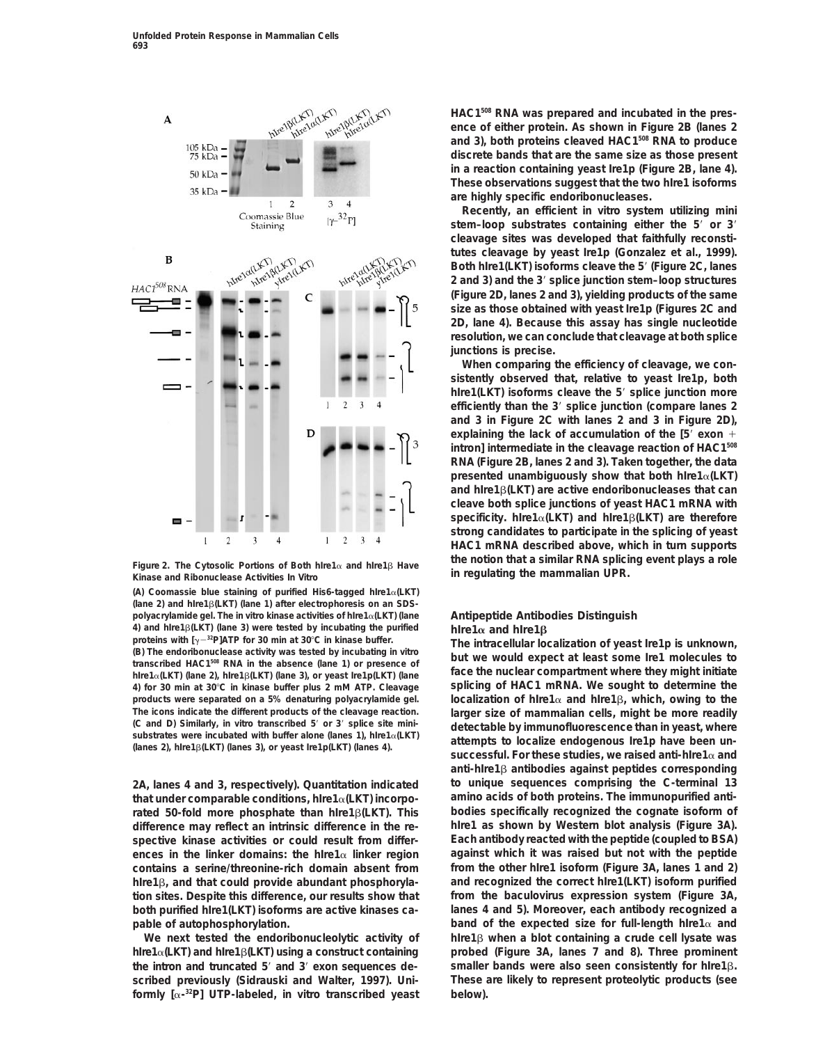

Kinase and Ribonuclease Activities In Vitro

**(A) Coomassie blue staining of purified His6-tagged hIre1**a**(LKT) (lane 2) and hIre1**b**(LKT) (lane 1) after electrophoresis on an SDSpolyacrylamide gel. The in vitro kinase activities of hIre1**a**(LKT) (lane Antipeptide Antibodies Distinguish 4)** and hIre1 $\beta$ (LKT) (lane 3) were tested by incubating the purified **hire1** $\alpha$  **and hire1** $\beta$  proteins with  $[\gamma^{-2P}]$ ATP for 30 min at 30°C in kinase buffer. The intracollular local

**4) for 30 min at 30°C in kinase buffer plus 2 mM ATP. Cleavage** 

rated 50-fold more phosphate than hire1<sub>B</sub>(LKT). This bodies specifically recognized the cognate isoform of difference may reflect an intrinsic difference in the re-<br>Rifference may reflect an intrinsic difference in the re **spective kinase activities or could result from differ- Each antibody reacted with the peptide (coupled to BSA)** contains a serine/threonine-rich domain absent from **tion sites. Despite this difference, our results show that from the baculovirus expression system (Figure 3A, both purified hIre1(LKT) isoforms are active kinases ca- lanes 4 and 5). Moreover, each antibody recognized a**

**formly [**a**-32P] UTP-labeled, in vitro transcribed yeast below).**

*HAC1508* **RNA was prepared and incubated in the presence of either protein. As shown in Figure 2B (lanes 2 and 3), both proteins cleaved** *HAC1508* **RNA to produce discrete bands that are the same size as those present in a reaction containing yeast Ire1p (Figure 2B, lane 4). These observations suggest that the two hIre1 isoforms are highly specific endoribonucleases.**

**Recently, an efficient in vitro system utilizing mini** stem-loop substrates containing either the 5' or 3' **cleavage sites was developed that faithfully reconstitutes cleavage by yeast Ire1p (Gonzalez et al., 1999). Both hIre1(LKT) isoforms cleave the 5**9 **(Figure 2C, lanes 2 and 3) and the 3**9 **splice junction stem–loop structures (Figure 2D, lanes 2 and 3), yielding products of the same size as those obtained with yeast Ire1p (Figures 2C and 2D, lane 4). Because this assay has single nucleotide resolution, we can conclude that cleavage at both splice junctions is precise.**

**When comparing the efficiency of cleavage, we consistently observed that, relative to yeast Ire1p, both hIre1(LKT)** isoforms cleave the 5' splice junction more **efficiently than the 3**9 **splice junction (compare lanes 2 and 3 in Figure 2C with lanes 2 and 3 in Figure 2D),** explaining the lack of accumulation of the [5' exon + **intron] intermediate in the cleavage reaction of** *HAC1508* **RNA (Figure 2B, lanes 2 and 3). Taken together, the data presented unambiguously show that both hIre1**a**(LKT) and hIre1**b**(LKT) are active endoribonucleases that can cleave both splice junctions of yeast** *HAC1* **mRNA with specificity. hIre1**a**(LKT) and hIre1**b**(LKT) are therefore strong candidates to participate in the splicing of yeast** *HAC1* **mRNA described above, which in turn supports the notion that a similar RNA splicing event plays a role Figure 2. The Cytosolic Portions of Both hIre1**<sup>a</sup> **and hIre1**<sup>b</sup> **Have**

proteins with  $[\gamma^{-32}]$ ATP for 30 min at 30°C in kinase butter.<br>
(B) The endoribonuclease activity was tested by incubating in vitro<br>
transcribed *HAC1<sup>560</sup>* RNA in the absence (lane 1) or presence of<br>
htreta(LKT) (lane 2) **products were separated on a 5% denaturing polyacrylamide gel. localization of hIre1** $\alpha$  and hIre1 $\beta$ , which, owing to the The icons indicate the different products of the cleavage reaction. Iarger size of mammalian cells, might be more readily<br>
(C and D) Similarly, in vitro transcribed 5' or 3' splice site mini-<br>
substrates were incubated wi **anti-hIre1**b **antibodies against peptides corresponding 2A, lanes 4 and 3, respectively). Quantitation indicated to unique sequences comprising the C-terminal 13 that under comparable conditions, hIre1**a**(LKT) incorpo- amino acids of both proteins. The immunopurified antidifference may reflect an intrinsic difference in the re- hIre1 as shown by Western blot analysis (Figure 3A). ences in the linker domains: the hIre1**a **linker region against which it was raised but not with the peptide hIre1**b**, and that could provide abundant phosphoryla- and recognized the correct hIre1(LKT) isoform purified pable of autophosphorylation. band of the expected size for full-length hIre1**a **and We next tested the endoribonucleolytic activity of hIre1**b **when a blot containing a crude cell lysate was hIre1**a**(LKT) and hIre1**b**(LKT) using a construct containing probed (Figure 3A, lanes 7 and 8). Three prominent the intron and truncated 5**9 **and 3**9 **exon sequences de- smaller bands were also seen consistently for hIre1**b**. scribed previously (Sidrauski and Walter, 1997). Uni- These are likely to represent proteolytic products (see**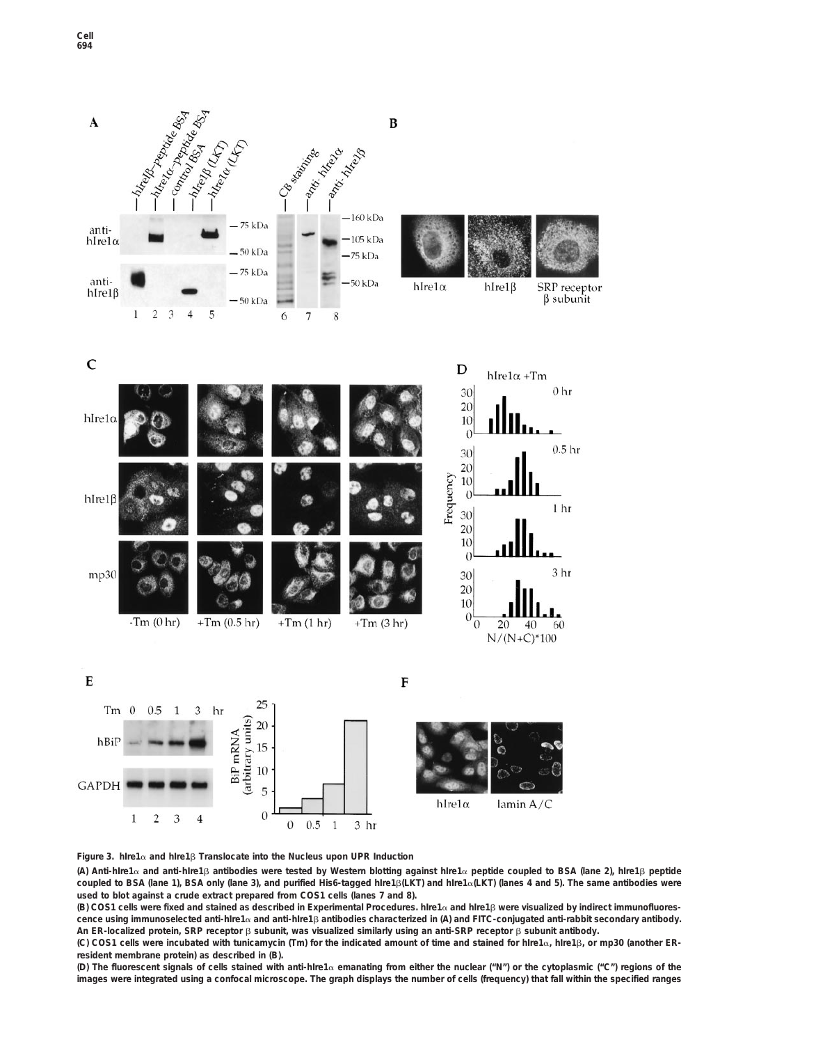

D

 $\mathbf C$ 





**Figure 3. hIre1**a **and hIre1**b **Translocate into the Nucleus upon UPR Induction**

**(A) Anti-hIre1**a **and anti-hIre1**b **antibodies were tested by Western blotting against hIre1**a **peptide coupled to BSA (lane 2), hIre1**b **peptide coupled to BSA (lane 1), BSA only (lane 3), and purified His6-tagged hIre1**b**(LKT) and hIre1**a**(LKT) (lanes 4 and 5). The same antibodies were used to blot against a crude extract prepared from COS1 cells (lanes 7 and 8).**

**(B) COS1 cells were fixed and stained as described in Experimental Procedures. hIre1**a **and hIre1**b **were visualized by indirect immunofluorescence using immunoselected anti-hIre1**a **and anti-hIre1**b **antibodies characterized in (A) and FITC-conjugated anti-rabbit secondary antibody. An ER-localized protein, SRP receptor** b **subunit, was visualized similarly using an anti-SRP receptor** b **subunit antibody.**

**(C) COS1 cells were incubated with tunicamycin (Tm) for the indicated amount of time and stained for hIre1**a**, hIre1**b**, or mp30 (another ERresident membrane protein) as described in (B).**

**(D) The fluorescent signals of cells stained with anti-hIre1**a **emanating from either the nuclear ("N") or the cytoplasmic ("C") regions of the images were integrated using a confocal microscope. The graph displays the number of cells (frequency) that fall within the specified ranges**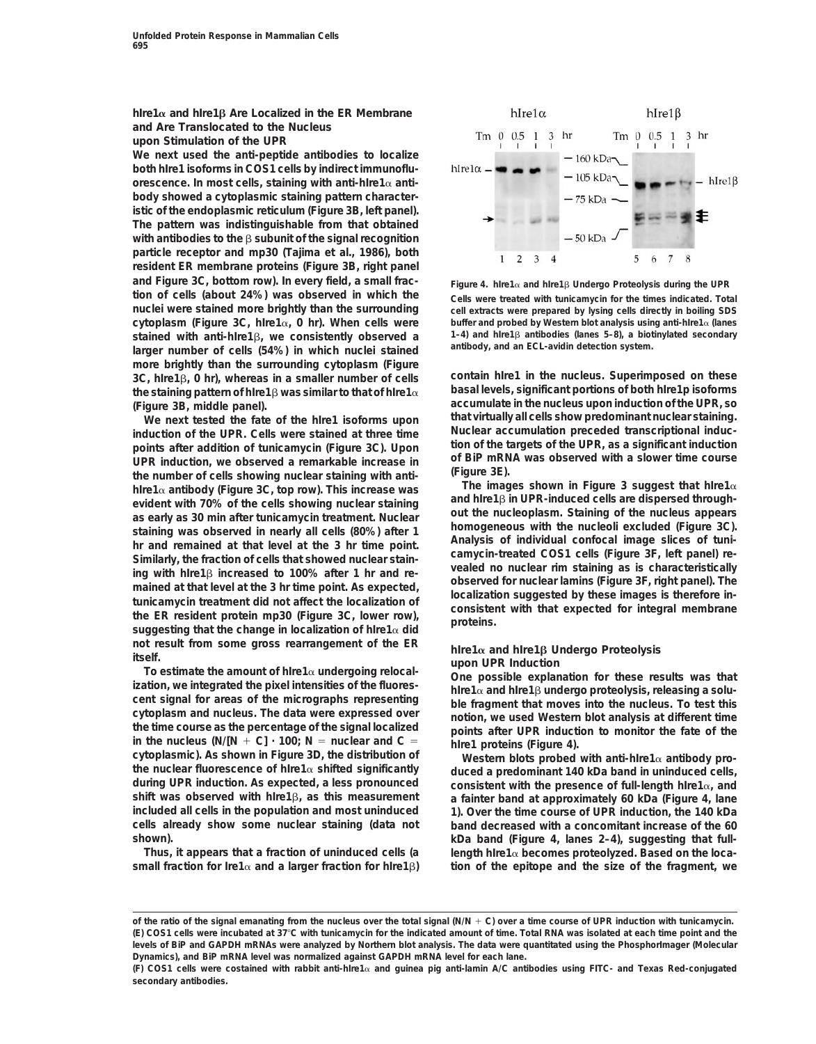# **hIre1**a **and hIre1**b **Are Localized in the ER Membrane and Are Translocated to the Nucleus**

**upon Stimulation of the UPR**

**We next used the anti-peptide antibodies to localize both hIre1 isoforms in COS1 cells by indirect immunofluorescence. In most cells, staining with anti-hIre1**a **antibody showed a cytoplasmic staining pattern characteristic of the endoplasmic reticulum (Figure 3B, left panel). The pattern was indistinguishable from that obtained with antibodies to the β subunit of the signal recognition particle receptor and mp30 (Tajima et al., 1986), both resident ER membrane proteins (Figure 3B, right panel and Figure 3C, bottom row). In every field, a small frac- Figure 4. hIre1**<sup>a</sup> **and hIre1**<sup>b</sup> **Undergo Proteolysis during the UPR** larger number of cells (54%) in which nuclei stained **more brightly than the surrounding cytoplasm (Figure 3C, hIre1**b**, 0 hr), whereas in a smaller number of cells contain hIre1 in the nucleus. Superimposed on these the staining pattern of hIre1** $\beta$  was similar to that of hIre1 $\alpha$ 

UPR induction, we observed a remarkable increase in **OLICT MAN**<br>the number of cells showing nuclear staining with anti. (Figure 3E). the number of cells showing nuclear staining with anti-<br>
hlre1 $\alpha$  antibody (Figure 3C, top row). This increase was<br>
evident with 70% of the cells showing nuclear staining<br>
staining was observed in nearly all cells (80%)

not result from some gross rearrangement of the ER<br>
itself.<br>
To estimate the amount of hire1α undergoing relocal-<br>
ization, we integrated the pixel intensities of the fluores-<br>
cent signal for areas of the micrographs re

**small fraction for Ire1**a **and a larger fraction for hIre1**b**) tion of the epitope and the size of the fragment, we**



**tion of cells (about 24%) was observed in which the Cells were treated with tunicamycin for the times indicated. Total** cell extracts were prepared by lysing cells directly in boiling SDS **cytoplasm (Figure 3C, hIre1**a**, 0 hr). When cells were buffer and probed by Western blot analysis using anti-hIre1**a **(lanes** stained with anti-hire1 $\beta$ , we consistently observed a  $\alpha$  1–4) and hire1 $\beta$  antibodies (lanes 5–8), a biotinylated secondary<br>larger number of cells (54%) in which nuclei stained antibody, and an ECL-avidin detection s

**(Figure 3B, middle panel). accumulate in the nucleus upon induction of the UPR, so We next tested the fate of the hIre1 isoforms upon that virtually all cells show predominant nuclear staining.** induction of the UPR. Cells were stained at three time<br>
points after addition of tunicamycin (Figure 3C), Upon<br>
tion of the targets of the UPR, as a significant induction **tion of the targets of the UPR, as a significant induction points after addition of tunicamycin (Figure 3C). Upon**

**the nuclear fluorescence of hIre1**a **shifted significantly duced a predominant 140 kDa band in uninduced cells, during UPR induction. As expected, a less pronounced consistent with the presence of full-length hIre1**a**, and shift was observed with hIre1**b**, as this measurement a fainter band at approximately 60 kDa (Figure 4, lane included all cells in the population and most uninduced 1). Over the time course of UPR induction, the 140 kDa cells already show some nuclear staining (data not band decreased with a concomitant increase of the 60 shown). kDa band (Figure 4, lanes 2–4), suggesting that full-Thus, it appears that a fraction of uninduced cells (a length hIre1**a **becomes proteolyzed. Based on the loca-**

**of the ratio of the signal emanating from the nucleus over the total signal (N/N** 1 **C) over a time course of UPR induction with tunicamycin. (E) COS1 cells were incubated at 37**8**C with tunicamycin for the indicated amount of time. Total RNA was isolated at each time point and the levels of BiP and GAPDH mRNAs were analyzed by Northern blot analysis. The data were quantitated using the PhosphorImager (Molecular Dynamics), and BiP mRNA level was normalized against GAPDH mRNA level for each lane.**

**<sup>(</sup>F) COS1 cells were costained with rabbit anti-hIre1**a **and guinea pig anti-lamin A/C antibodies using FITC- and Texas Red-conjugated secondary antibodies.**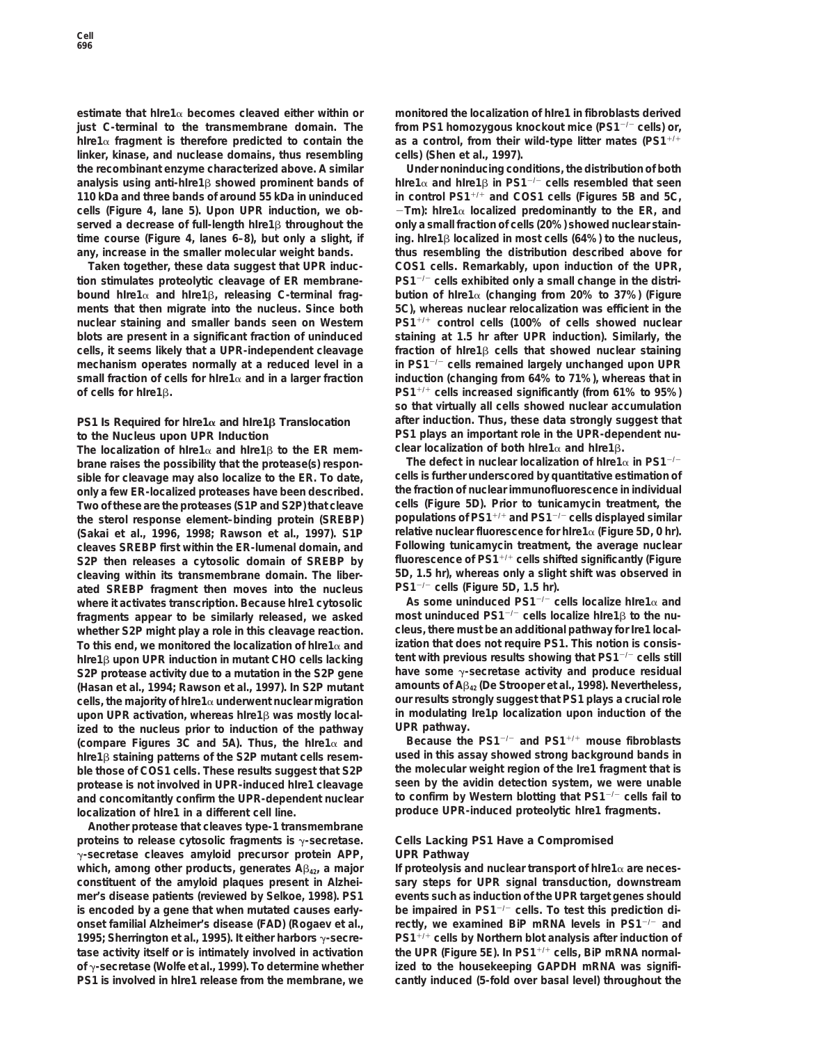**estimate that hIre1**a **becomes cleaved either within or monitored the localization of hIre1 in fibroblasts derived from PS1 homozygous knockout mice (PS1**<sup>2</sup>**/**<sup>2</sup> **just C-terminal to the transmembrane domain. The cells) or,**  $h$ Ire1 $\alpha$  fragment is therefore predicted to contain the as a control, from their wild-type litter mates (PS1<sup>+/+</sup> **linker, kinase, and nuclease domains, thus resembling cells) (Shen et al., 1997). the recombinant enzyme characterized above. A similar Under noninducing conditions, the distribution of both h** analysis using anti-hire1 $\beta$  showed prominent bands of hire1 $\alpha$  and hire1 $\beta$  in PS1<sup>-/-</sup> cells resembled that seen **110 kDa and three bands of around 55 kDa in uninduced in control PS1**<sup>1</sup>**/**<sup>1</sup> **and COS1 cells (Figures 5B and 5C,** cells (Figure 4, lane 5). Upon UPR induction, we ob-<br> $-Tm$ ): hire1 $\alpha$  localized predominantly to the ER, and served a decrease of full-length hIre1 $\beta$  throughout the only a small fraction of cells (20%) showed nuclear stain**time course (Figure 4, lanes 6–8), but only a slight, if ing. hIre1**b **localized in most cells (64%) to the nucleus, any, increase in the smaller molecular weight bands. thus resembling the distribution described above for**

**tion stimulates proteolytic cleavage of ER membrane- PS1**<sup>2</sup>**/**<sup>2</sup> **cells exhibited only a small change in the distribound hIre1**a **and hIre1**b**, releasing C-terminal frag- bution of hIre1**a **(changing from 20% to 37%) (Figure ments that then migrate into the nucleus. Since both 5C), whereas nuclear relocalization was efficient in the PS1**<sup>1</sup>**/**<sup>1</sup> **nuclear staining and smaller bands seen on Western control cells (100% of cells showed nuclear blots are present in a significant fraction of uninduced staining at 1.5 hr after UPR induction). Similarly, the cells, it seems likely that a UPR-independent cleavage fraction of hIre1**b **cells that showed nuclear staining** mechanism operates normally at a reduced level in a in PS1<sup>-/-</sup> cells remained largely unchanged upon UPR **small fraction of cells for hIre1**a **and in a larger fraction induction (changing from 64% to 71%), whereas that in of cells for hIre1**b**. PS1**<sup>1</sup>**/**<sup>1</sup> **cells increased significantly (from 61% to 95%)**

The localization of hIre1 $\alpha$  and hIre1 $\beta$  to the ER mem-<br> **The defect in nuclear localization of hIre1** $\alpha$  **in PS1<sup>-/-</sup><br>
The defect in nuclear localization of hIre1** $\alpha$  **in PS1<sup>-/-</sup> The defect in nuclear localization of hire1**a in PS1<sup>2/2</sup><br>
sible for cleavage may also localize to the FR. To date. Cells is further underscored by quantitative estimation of **sible for cleavage may also localize to the ER. To date, cells is further underscored by quantitative estimation of only a few ER-localized proteases have been described. the fraction of nuclear immunofluorescence in individual** Two of these are the proteases (S1P and S2P) that cleave **populations of PS1**<sup>1</sup>**/**<sup>1</sup> **and PS1**<sup>2</sup>**/**<sup>2</sup> **cells displayed similar the sterol response element–binding protein (SREBP) relative nuclear fluorescence for hIre1**a **(Figure 5D, 0 hr). (Sakai et al., 1996, 1998; Rawson et al., 1997). S1P cleaves SREBP first within the ER-lumenal domain, and Following tunicamycin treatment, the average nuclear fluorescence of PS1**<sup>+/+</sup> cells shifted significantly (Figure cleaving its of the of analy a slight shifted significantly (Figure cleaving within its transmembrane domain. The liber-<br>5D, 1.5 hr), whereas only a slight shi cleaving within its transmembrane domain. The liber-<br>ated SREBP fragment then moves into the nucleus PS1<sup>-/-</sup> cells (Figure 5D, 1.5 hr). **PS1**<sup>2</sup>**/**<sup>2</sup> **ated SREBP fragment then moves into the nucleus cells (Figure 5D, 1.5 hr). As some uninduced PS1**<sup>2</sup>**/**<sup>2</sup> **where it activates transcription. Because hIre1 cytosolic cells localize hIre1**a **and most uninduced PS1**<sup>2</sup>**/**<sup>2</sup> **fragments appear to be similarly released, we asked cells localize hIre1**b **to the nuwhether S2P might play a role in this cleavage reaction. cleus, there must be an additional pathway for Ire1 local-**To this end, we monitored the localization of hIre1 $\alpha$  and **the 1β upon UPR induction in mutant CHO cells lacking** tent with previous results showing that PS1<sup>-/-</sup> cells still<br>S2P protease activity due to a mutation in the S2P gene have some γ-secretase activity and produce resid **S2P protease activity due to a mutation in the S2P gene have some** g**-secretase activity and produce residual amounts of A**b**<sup>42</sup> (De Strooper et al., 1998). Nevertheless, (Hasan et al., 1994; Rawson et al., 1997). In S2P mutant cells, the majority of hire1α underwent nuclear migration upon UPR activation, whereas hire1** $\beta$  was mostly local-<br> **in modulating Ire1p localization upon induction of the pathway.**<br> **UPR pathway.** ized to the nucleus prior to induction of the pathway.<br>  $\frac{UPR}{P}$  pathway.<br>  $\frac{VPR}{P}$  pathway.<br>  $\frac{VPR}{P}$  pathway. **Because the PS1**<sup>2</sup>**/**<sup>2</sup> **and PS1 (compare Figures 3C and 5A). Thus, the hIre1**a **and** <sup>1</sup>**/**<sup>1</sup> **mouse fibroblasts hire1** $\beta$  staining patterns of the S2P mutant cells resem**ble those of COS1 cells. These results suggest that S2P the molecular weight region of the Ire1 fragment that is protease is not involved in UPR-induced hIre1 cleavage seen by the avidin detection system, we were unable to confirm by Western blotting that PS1**<sup>2</sup>**/**<sup>2</sup> **and concomitantly confirm the UPR-dependent nuclear cells fail to produce UPR-induced proteolytic hIre1 fragments. localization of hIre1 in a different cell line.**

**Another protease that cleaves type-1 transmembrane proteins to release cytosolic fragments is** g**-secretase. Cells Lacking PS1 Have a Compromised** g**-secretase cleaves amyloid precursor protein APP, UPR Pathway which, among other products, generates A**b**42, a major If proteolysis and nuclear transport of hIre1**a **are necesconstituent of the amyloid plaques present in Alzhei- sary steps for UPR signal transduction, downstream mer's disease patients (reviewed by Selkoe, 1998). PS1 events such as induction of the UPR target genes should** is encoded by a gene that when mutated causes early-<br> **be impaired in PS1<sup>-/-</sup>** cells. To test this prediction di**onset familial Alzheimer's disease (FAD) (Rogaev et al., rectly, we examined BiP mRNA levels in PS1<sup>-/-</sup> and PS1**<sup>1</sup>**/**<sup>1</sup> **1995; Sherrington et al., 1995). It either harbors** g**-secre- cells by Northern blot analysis after induction of** tase activity itself or is intimately involved in activation the UPR (Figure 5E). In PS1<sup>+/+</sup> cells, BiP mRNA normal**of** g**-secretase (Wolfe et al., 1999). To determine whether ized to the housekeeping GAPDH mRNA was signifi-PS1 is involved in hIre1 release from the membrane, we cantly induced (5-fold over basal level) throughout the**

**Taken together, these data suggest that UPR induc- COS1 cells. Remarkably, upon induction of the UPR, so that virtually all cells showed nuclear accumulation PS1 Is Required for hIre1**a **and hIre1**b **Translocation after induction. Thus, these data strongly suggest that** to the Nucleus upon UPR Induction<br>The localization of hire1<sub>0</sub> and hire18 to the FR mem-<br>Clear localization of both hire1 $\alpha$  and hire18.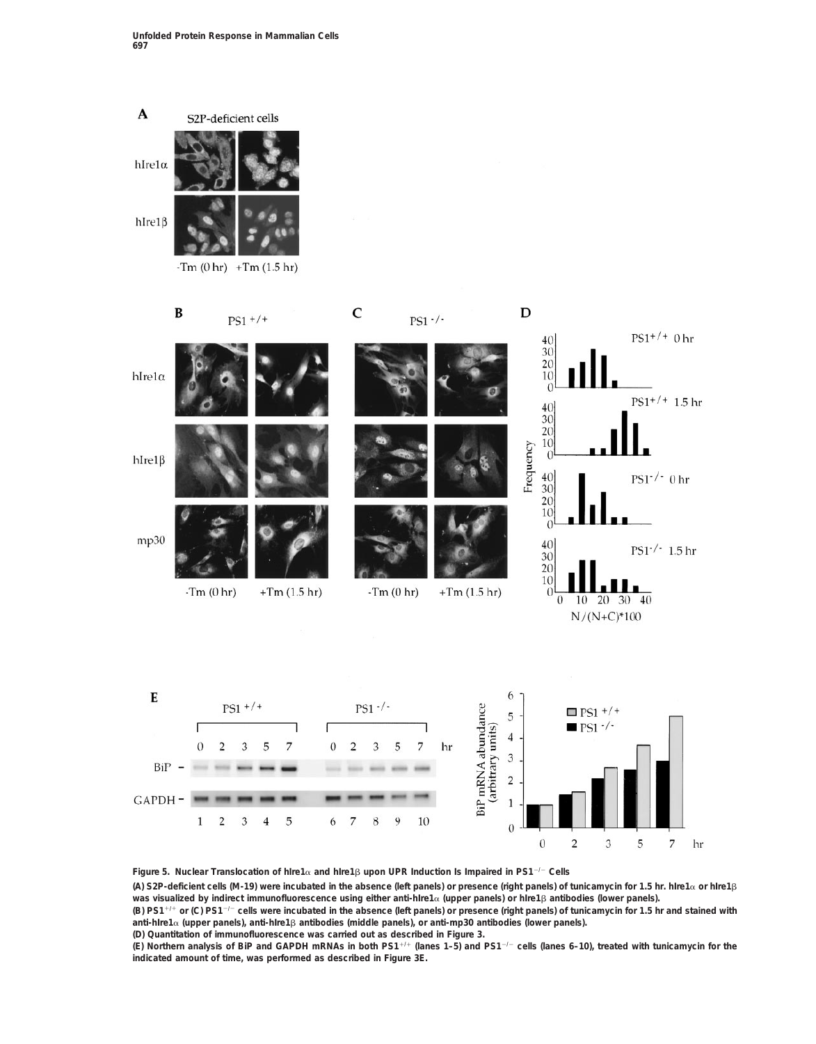



**Figure 5. Nuclear Translocation of hIre1**a **and hIre1**b **upon UPR Induction Is Impaired in PS1**<sup>2</sup>**/**<sup>2</sup> **Cells**

**(A) S2P-deficient cells (M-19) were incubated in the absence (left panels) or presence (right panels) of tunicamycin for 1.5 hr. hIre1**a **or hIre1**b **was visualized by indirect immunofluorescence using either anti-hIre1**a **(upper panels) or hIre1**b **antibodies (lower panels).**

**(B) PS1**<sup>1</sup>**/**<sup>1</sup> **or (C) PS1**<sup>2</sup>**/**<sup>2</sup> **cells were incubated in the absence (left panels) or presence (right panels) of tunicamycin for 1.5 hr and stained with anti-hIre1**a **(upper panels), anti-hIre1**b **antibodies (middle panels), or anti-mp30 antibodies (lower panels).**

**(D) Quantitation of immunofluorescence was carried out as described in Figure 3.**

**(E) Northern analysis of BiP and GAPDH mRNAs in both PS1**<sup>1</sup>**/**<sup>1</sup> **(lanes 1–5) and PS1**<sup>2</sup>**/**<sup>2</sup> **cells (lanes 6–10), treated with tunicamycin for the indicated amount of time, was performed as described in Figure 3E.**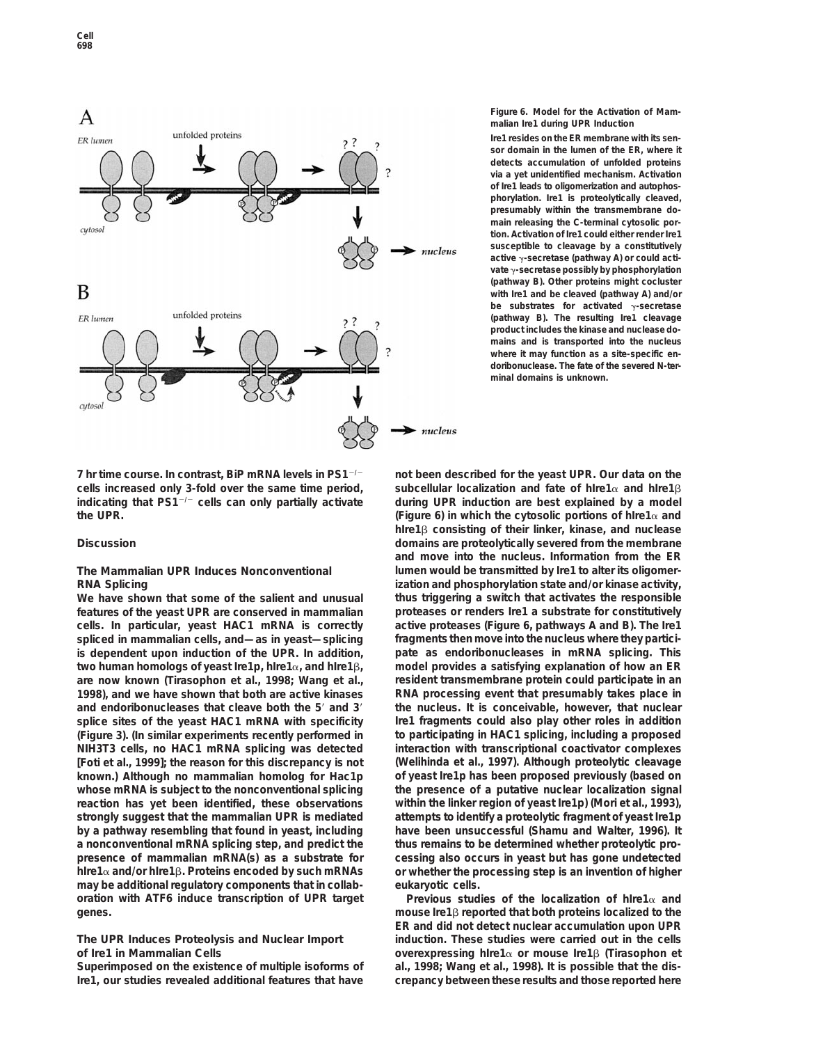

**Figure 6. Model for the Activation of Mammalian Ire1 during UPR Induction**

**Ire1 resides on the ER membrane with its sensor domain in the lumen of the ER, where it detects accumulation of unfolded proteins via a yet unidentified mechanism. Activation of Ire1 leads to oligomerization and autophosphorylation. Ire1 is proteolytically cleaved, presumably within the transmembrane domain releasing the C-terminal cytosolic portion. Activation of Ire1 could either render Ire1 susceptible to cleavage by a constitutively** active y-secretase (pathway A) or could acti**vate** g**-secretase possibly by phosphorylation (pathway B). Other proteins might cocluster with Ire1 and be cleaved (pathway A) and/or be substrates for activated** γ-secretase **(pathway B). The resulting Ire1 cleavage product includes the kinase and nuclease domains and is transported into the nucleus where it may function as a site-specific endoribonuclease. The fate of the severed N-terminal domains is unknown.**

**7 hr time course. In contrast, BiP mRNA levels in PS1**<sup>2</sup>**/**<sup>2</sup> **not been described for the yeast UPR. Our data on the** cells increased only 3-fold over the same time period, subcellular localization and fate of hIre1 $\alpha$  and hIre1 $\beta$ **indicating that PS1**<sup>2</sup>**/**<sup>2</sup> **cells can only partially activate during UPR induction are best explained by a model**

**features of the yeast UPR are conserved in mammalian proteases or renders Ire1 a substrate for constitutively cells. In particular, yeast** *HAC1* **mRNA is correctly active proteases (Figure 6, pathways A and B). The Ire1 spliced in mammalian cells, and—as in yeast—splicing fragments then move into the nucleus where they particiis dependent upon induction of the UPR. In addition, pate as endoribonucleases in mRNA splicing. This two human homologs of yeast Ire1p, hIre1**a**, and hIre1**b**, model provides a satisfying explanation of how an ER are now known (Tirasophon et al., 1998; Wang et al., resident transmembrane protein could participate in an 1998), and we have shown that both are active kinases RNA processing event that presumably takes place in and endoribonucleases that cleave both the 5**9 **and 3**9 **the nucleus. It is conceivable, however, that nuclear splice sites of the yeast** *HAC1* **mRNA with specificity Ire1 fragments could also play other roles in addition (Figure 3). (In similar experiments recently performed in to participating in** *HAC1* **splicing, including a proposed NIH3T3 cells, no** *HAC1* **mRNA splicing was detected interaction with transcriptional coactivator complexes [Foti et al., 1999]; the reason for this discrepancy is not (Welihinda et al., 1997). Although proteolytic cleavage known.) Although no mammalian homolog for Hac1p of yeast Ire1p has been proposed previously (based on whose mRNA is subject to the nonconventional splicing the presence of a putative nuclear localization signal reaction has yet been identified, these observations within the linker region of yeast Ire1p) (Mori et al., 1993), strongly suggest that the mammalian UPR is mediated attempts to identify a proteolytic fragment of yeast Ire1p by a pathway resembling that found in yeast, including have been unsuccessful (Shamu and Walter, 1996). It a nonconventional mRNA splicing step, and predict the thus remains to be determined whether proteolytic propresence of mammalian mRNA(s) as a substrate for cessing also occurs in yeast but has gone undetected hIre1**a **and/or hIre1**b**. Proteins encoded by such mRNAs or whether the processing step is an invention of higher may be additional regulatory components that in collab- eukaryotic cells. oration with ATF6 induce transcription of UPR target Previous studies of the localization of hIre1**a **and genes. mouse Ire1**b **reported that both proteins localized to the**

**Ire1, our studies revealed additional features that have crepancy between these results and those reported here**

**the UPR. (Figure 6) in which the cytosolic portions of hIre1**a **and hIre1**b **consisting of their linker, kinase, and nuclease Discussion domains are proteolytically severed from the membrane and move into the nucleus. Information from the ER The Mammalian UPR Induces Nonconventional lumen would be transmitted by Ire1 to alter its oligomer-RNA Splicing ization and phosphorylation state and/or kinase activity, We have shown that some of the salient and unusual thus triggering a switch that activates the responsible**

**ER and did not detect nuclear accumulation upon UPR The UPR Induces Proteolysis and Nuclear Import induction. These studies were carried out in the cells of Ire1 in Mammalian Cells overexpressing hIre1**a **or mouse Ire1**b **(Tirasophon et Superimposed on the existence of multiple isoforms of al., 1998; Wang et al., 1998). It is possible that the dis-**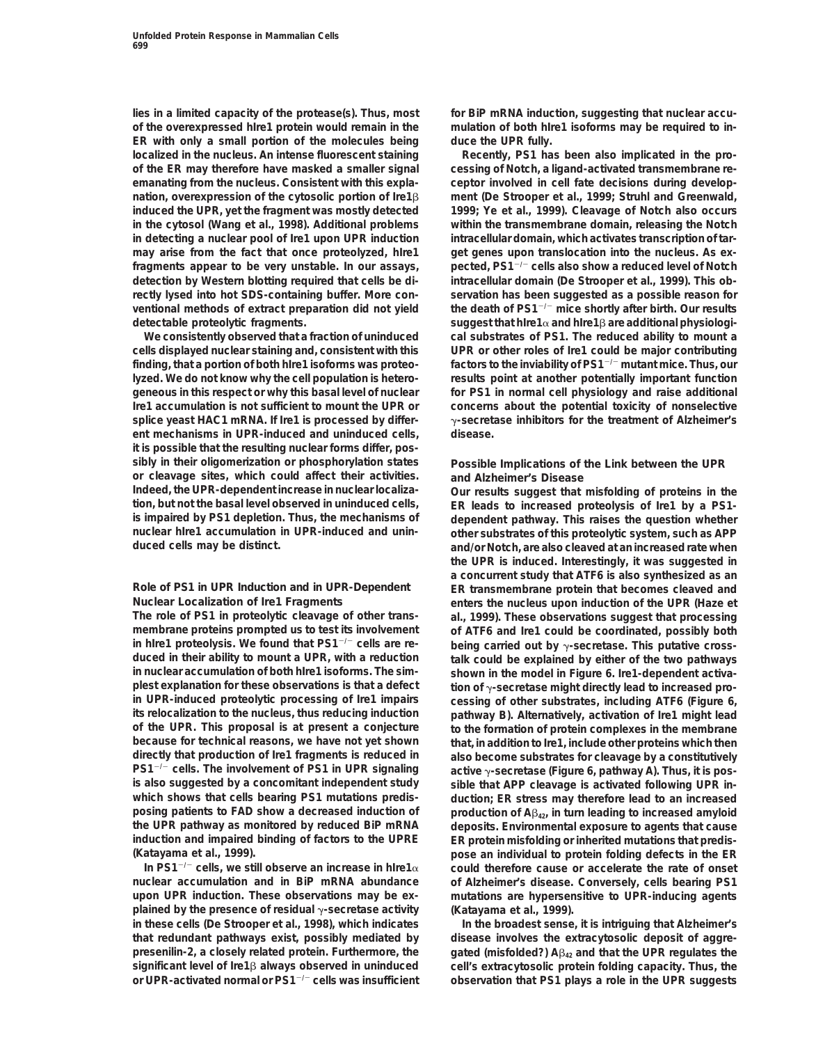lies in a limited capacity of the protease(s). Thus, most for BiP mRNA induction, suggesting that nuclear accu**of the overexpressed hIre1 protein would remain in the mulation of both hIre1 isoforms may be required to in-ER with only a small portion of the molecules being duce the UPR fully. localized in the nucleus. An intense fluorescent staining Recently, PS1 has been also implicated in the proof the ER may therefore have masked a smaller signal cessing of Notch, a ligand-activated transmembrane reemanating from the nucleus. Consistent with this expla- ceptor involved in cell fate decisions during developnation, overexpression of the cytosolic portion of Ire1**b **ment (De Strooper et al., 1999; Struhl and Greenwald, induced the UPR, yet the fragment was mostly detected 1999; Ye et al., 1999). Cleavage of Notch also occurs in the cytosol (Wang et al., 1998). Additional problems within the transmembrane domain, releasing the Notch in detecting a nuclear pool of Ire1 upon UPR induction intracellular domain, which activates transcription of tar**may arise from the fact that once proteolyzed, hIre1 get genes upon translocation into the nucleus. As exfragments appear to be very unstable. In our assays, pected, PS1<sup>-/-</sup> cells also show a reduced level of Notch **detection by Western blotting required that cells be di- intracellular domain (De Strooper et al., 1999). This obrectly lysed into hot SDS-containing buffer. More con- servation has been suggested as a possible reason for ventional methods of extract preparation did not yield the death of PS1**<sup>2</sup>**/**<sup>2</sup> **mice shortly after birth. Our results detectable proteolytic fragments. suggest that hIre1**a **and hIre1**b **are additional physiologi-**

**cells displayed nuclear staining and, consistent with this UPR or other roles of Ire1 could be major contributing finding, that a portion of both hIre1 isoforms was proteo- factors to the inviability of PS1**<sup>2</sup>**/**<sup>2</sup> **mutant mice. Thus, our lyzed. We do not know why the cell population is hetero- results point at another potentially important function geneous in this respect or why this basal level of nuclear for PS1 in normal cell physiology and raise additional Ire1 accumulation is not sufficient to mount the UPR or concerns about the potential toxicity of nonselective splice yeast** *HAC1* **mRNA. If Ire1 is processed by differ-** g**-secretase inhibitors for the treatment of Alzheimer's ent mechanisms in UPR-induced and uninduced cells, disease. it is possible that the resulting nuclear forms differ, possibly in their oligomerization or phosphorylation states Possible Implications of the Link between the UPR or cleavage sites, which could affect their activities. and Alzheimer's Disease Indeed, the UPR-dependent increase in nuclear localiza- Our results suggest that misfolding of proteins in the tion, but not the basal level observed in uninduced cells, ER leads to increased proteolysis of Ire1 by a PS1 is impaired by PS1 depletion. Thus, the mechanisms of dependent pathway. This raises the question whether**

**The role of PS1 in proteolytic cleavage of other trans- al., 1999). These observations suggest that processing membrane proteins prompted us to test its involvement of ATF6 and Ire1 could be coordinated, possibly both** in hIre1 proteolysis. We found that PS1<sup>-/-</sup> cells are re-<br>  $\frac{1}{2}$  being carried out by  $\gamma$ -secretase. This putative cross-<br>
duced in their ability to mount a UPR, with a reduction<br>
talk could be explained by either o **duced in their ability to mount a UPR, with a reduction talk could be explained by either of the two pathways plest explanation for these observations is that a defect tion of** g**-secretase might directly lead to increased proin UPR-induced proteolytic processing of Ire1 impairs cessing of other substrates, including ATF6 (Figure 6, its relocalization to the nucleus, thus reducing induction pathway B). Alternatively, activation of Ire1 might lead of the UPR. This proposal is at present a conjecture to the formation of protein complexes in the membrane because for technical reasons, we have not yet shown that, in addition to Ire1, include other proteins which then PS1<sup>-/-</sup> cells. The involvement of PS1 in UPR signaling active**  $\gamma$ **-secretase (Figure 6, pathway A). Thus, it is pos-<br>
is also suggested by a concomitant independent study sible that APP cleavage is activated following UP is also suggested by a concomitant independent study sible that APP cleavage is activated following UPR inwhich shows that cells bearing PS1 mutations predis- duction; ER stress may therefore lead to an increased posing patients to FAD show a decreased induction of production of A**b**42, in turn leading to increased amyloid the UPR pathway as monitored by reduced BiP mRNA deposits. Environmental exposure to agents that cause**

**nuclear accumulation and in BiP mRNA abundance of Alzheimer's disease. Conversely, cells bearing PS1 upon UPR induction. These observations may be ex- mutations are hypersensitive to UPR-inducing agents plained by the presence of residual** γ-secretase activity (Katayama et al., 1999). **in these cells (De Strooper et al., 1998), which indicates In the broadest sense, it is intriguing that Alzheimer's that redundant pathways exist, possibly mediated by disease involves the extracytosolic deposit of aggrepresenilin-2, a closely related protein. Furthermore, the gated (misfolded?) A**b**<sup>42</sup> and that the UPR regulates the significant level of Ire1**b **always observed in uninduced cell's extracytosolic protein folding capacity. Thus, the**

**We consistently observed that a fraction of uninduced cal substrates of PS1. The reduced ability to mount a**

other substrates of this proteolytic system, such as APP **duced cells may be distinct. and/or Notch, are also cleaved at an increased rate when the UPR is induced. Interestingly, it was suggested in a concurrent study that ATF6 is also synthesized as an Role of PS1 in UPR Induction and in UPR-Dependent ER transmembrane protein that becomes cleaved and Nuclear Localization of Ire1 Fragments enters the nucleus upon induction of the UPR (Haze et** shown in the model in Figure 6. Ire1-dependent activa**diso become substrates for cleavage by a constitutively ER protein misfolding or inherited mutations that predis-(Katayama et al., 1999). pose an individual to protein folding defects in the ER In PS1**<sup>2</sup>**/**<sup>2</sup> **cells, we still observe an increase in hIre1**a **could therefore cause or accelerate the rate of onset**

**or UPR-activated normal or PS1<sup>-/-</sup> cells was insufficient** observation that PS1 plays a role in the UPR suggests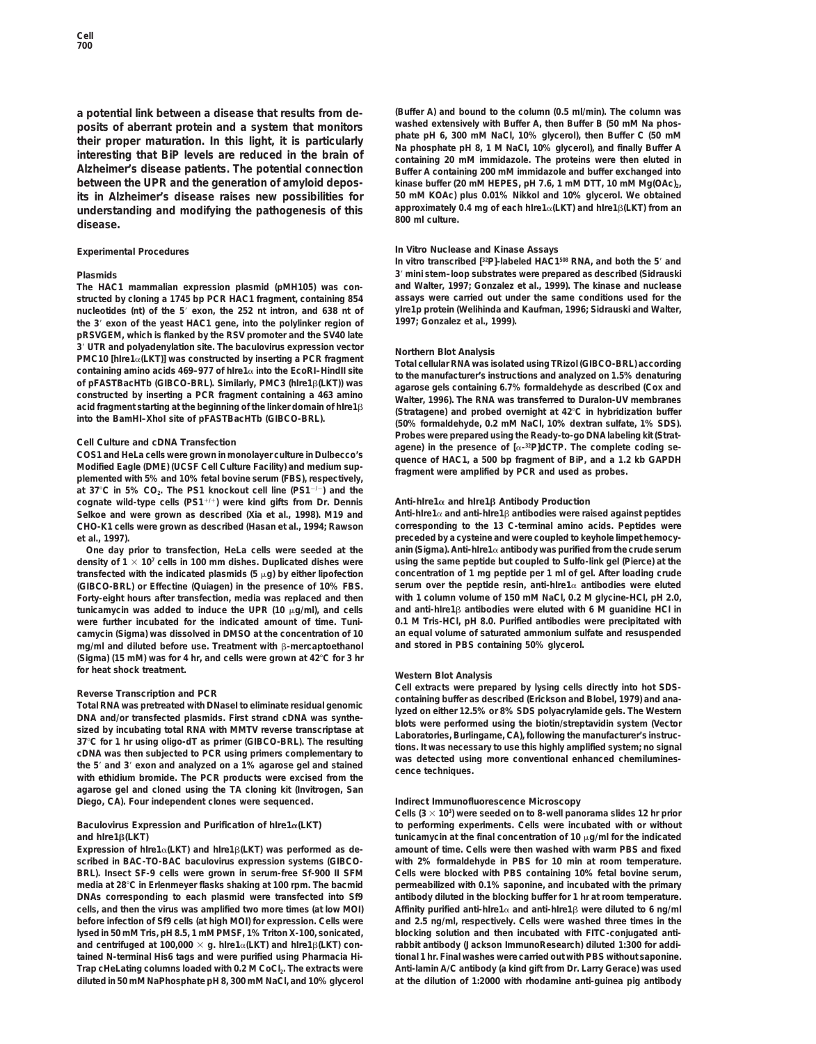**a potential link between a disease that results from de- (Buffer A) and bound to the column (0.5 ml/min). The column was** posits of aberrant protein and a system that monitors<br>their proper maturation. In this light, it is particularly<br>interesting that BiP levels are reduced in the brain of<br>Alzheimer's disease patients. The potential connectio **between the UPR and the generation of amyloid depos-**<br>its in Alzheimer's disease rajses new possibilities for 50 mM KOAc) plus 0.01% Nikkol and 10% glycerol. We obtained **its in Alzheimer's disease raises new possibilities for 50 mM KOAc) plus 0.01% Nikkol and 10% glycerol. We obtained approximately 0.4 mg of each hIre1**a**(LKT) and hIre1**b**(LKT) from an understanding and modifying the pathogenesis of this 800 ml culture. disease.**

The *HAC1* mammalian expression plasmid (pMH105) was con**structed by cloning a 1745 bp PCR** *HAC1* **fragment, containing 854 assays were carried out under the same conditions used for the**  $nucleotides$  (nt) of the 5' exon, the 252 nt intron, and 638 nt of **1997; Gonzalez et al., 1999). the 3**9 **exon of the yeast** *HAC1* **gene, into the polylinker region of pRSVGEM, which is flanked by the RSV promoter and the SV40 late** 3' UTR and polyadenylation site. The baculovirus expression vector<br>
PMC10 [hlre1α(LKT)] was constructed by inserting a PCR fragment<br>
containing amino acids 469–977 of hlre1α into the EcoRI–HindII site<br>
of pFASTBacHTb (GIB

at 37°C in 5% CO<sub>2</sub>. The PS1 knockout cell line (PS1<sup>-/-</sup>) and the **cognate wild-type cells (PS1**<sup>1</sup>**/**<sup>1</sup>**) were kind gifts from Dr. Dennis Anti-hIre1**a **and hIre1**b **Antibody Production Selkoe and were grown as described (Xia et al., 1998). M19 and Anti-hIre1**a **and anti-hIre1**b **antibodies were raised against peptides CHO-K1 cells were grown as described (Hasan et al., 1994; Rawson corresponding to the 13 C-terminal amino acids. Peptides were et al., 1997). preceded by a cysteine and were coupled to keyhole limpet hemocy-**

**density of 1** 3 **107 cells in 100 mm dishes. Duplicated dishes were using the same peptide but coupled to Sulfo-link gel (Pierce) at the transfected with the indicated plasmids (5** m**g) by either lipofection concentration of 1 mg peptide per 1 ml of gel. After loading crude (GIBCO-BRL) or Effectine (Quiagen) in the presence of 10% FBS. serum over the peptide resin, anti-hIre1**a **antibodies were eluted Forty-eight hours after transfection, media was replaced and then with 1 column volume of 150 mM NaCl, 0.2 M glycine-HCl, pH 2.0, tunicamycin was added to induce the UPR (10** m**g/ml), and cells and anti-hIre1**b **antibodies were eluted with 6 M guanidine HCl in were further incubated for the indicated amount of time. Tuni- 0.1 M Tris-HCl, pH 8.0. Purified antibodies were precipitated with camycin (Sigma) was dissolved in DMSO at the concentration of 10 an equal volume of saturated ammonium sulfate and resuspended mg/ml and diluted before use. Treatment with** b**-mercaptoethanol and stored in PBS containing 50% glycerol. (Sigma) (15 mM) was for 4 hr, and cells were grown at 42**8**C for 3 hr for heat shock treatment. Western Blot Analysis**

**agarose gel and cloned using the TA cloning kit (Invitrogen, San Diego, CA). Four independent clones were sequenced. Indirect Immunofluorescence Microscopy**

**scribed in BAC-TO-BAC baculovirus expression systems (GIBCO- with 2% formaldehyde in PBS for 10 min at room temperature. BRL). Insect SF-9 cells were grown in serum-free Sf-900 II SFM Cells were blocked with PBS containing 10% fetal bovine serum, media at 28**8**C in Erlenmeyer flasks shaking at 100 rpm. The bacmid permeabilized with 0.1% saponine, and incubated with the primary DNAs corresponding to each plasmid were transfected into Sf9 antibody diluted in the blocking buffer for 1 hr at room temperature.**  $\text{cells}$  and then the virus was amplified two more times (at low MOI) Affinity purified anti-hire1 $\alpha$  and anti-hire18 were diluted to 6 ng/ml **before infection of Sf9 cells (at high MOI) for expression. Cells were and 2.5 ng/ml, respectively. Cells were washed three times in the lysed in 50 mM Tris, pH 8.5, 1 mM PMSF, 1% Triton X-100, sonicated, blocking solution and then incubated with FITC-conjugated anti**and centrifuged at 100,000 × g. hIre1a(LKT) and hIre1β(LKT) con-<br>
rabbit antibody (Jackson ImmunoResearch) diluted 1:300 for addi**tained N-terminal His6 tags and were purified using Pharmacia Hi- tional 1 hr. Final washes were carried out with PBS without saponine. Trap cHeLating columns loaded with 0.2 M CoCl2. The extracts were Anti-lamin A/C antibody (a kind gift from Dr. Larry Gerace) was used diluted in 50 mM NaPhosphate pH 8, 300 mM NaCl, and 10% glycerol at the dilution of 1:2000 with rhodamine anti-guinea pig antibody**

Buffer A containing 200 mM immidazole and buffer exchanged into

## **Experimental Procedures In Vitro Nuclease and Kinase Assays**

In vitro transcribed [32P]-labeled  $HAC1^{508}$  RNA, and both the 5<sup>'</sup> and **Plasmids**<br>**1**93 The HAC1 mammalian expression plasmid (pMH105) was con-<br>201 and Walter, 1997; Gonzalez et al., 1999). The kinase and nuclease

Cell Culture and cDNA Transfection<br>COS1 and HeLa cells were grown in monolayer culture in Dulbecco's<br>Modified Eagle (DME) (UCSF Cell Culture Facility) and medium sup-<br>plemented with 5% and 10% fetal bovine serum (FBS), res

**One day prior to transfection, HeLa cells were seeded at the anin (Sigma). Anti-hIre1**a **antibody was purified from the crude serum**

Reverse Transcription and PCR<br>
Total RNA was pretreated with DNasel to eliminate residual genomic<br>
DNA and/or transfected plasmids. First strand CDNA was synthe-<br>
Sized by incubating total RNA with MMTV reverse transcripta

Cells  $(3 \times 10^3)$  were seeded on to 8-well panorama slides 12 hr prior **Baculovirus Expression and Purification of hIre1**a**(LKT) to performing experiments. Cells were incubated with or without and hire1β(LKT) tunicamycin at the final concentration of 10** μg/ml for the indicated **Expression of hIre1**a**(LKT) and hIre1**b**(LKT) was performed as de- amount of time. Cells were then washed with warm PBS and fixed**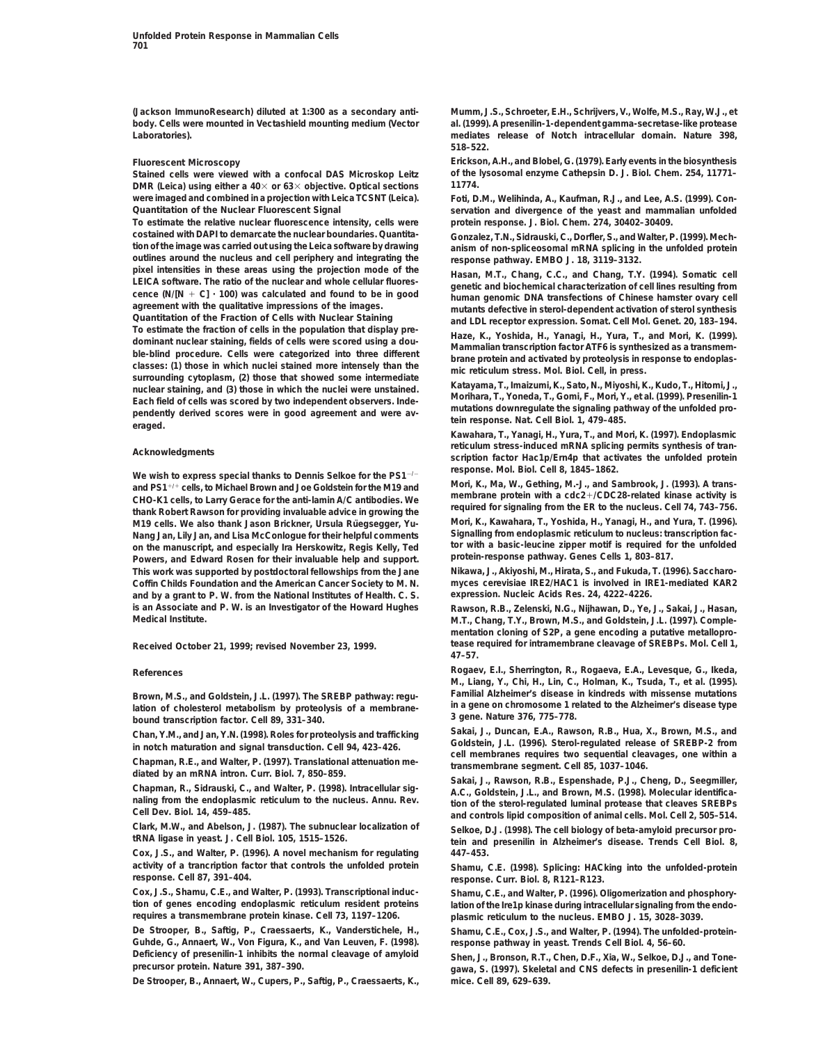**(Jackson ImmunoResearch) diluted at 1:300 as a secondary anti- Mumm, J.S., Schroeter, E.H., Schrijvers, V., Wolfe, M.S., Ray, W.J., et**

**Stained cells were viewed with a confocal DAS Microskop Leitz of the DMR (Leira) using either a 40 x or 63 x objective Ontical sections 11774. DMR (Leica) using either a 40** $\times$  or 63 $\times$  objective. Optical sections **were imaged and combined in a projection with Leica TCSNT (Leica). Foti, D.M., Welihinda, A., Kaufman, R.J., and Lee, A.S. (1999). Con-**

**To estimate the relative nuclear fluorescence intensity, cells were protein response. J. Biol. Chem.** *274***, 30402–30409. costained with DAPI to demarcate the nuclear boundaries. Quantita- Gonzalez, T.N., Sidrauski, C., Dorfler, S., and Walter, P. (1999). Mechtion of the image was carried out using the Leica software by drawing anism of non-spliceosomal mRNA splicing in the unfolded protein outlines around the nucleus and cell periphery and integrating the response pathway. EMBO J.** *18***, 3119–3132.**

To estimate the fraction of cells in the population that display pre-<br>dominant nuclear staining, fields of cells were scored using a dou-<br>bilade brockdure. Cells were categorized into three different<br>blane brane protein an

**response.** Mol. Biol. Cell *8*, 1845–1862.<br> **Rober 1845–1862. Property Celler to Michael Brown and Joe Celdetein for the M10 and Mori, K., Ma, W., Gething, M.-J., and Sambrook, J. (1993). A trans**and PS1<sup>+/+</sup> cells, to Michael Brown and Joe Goldstein for the M19 and<br> **CHO K1** cells, to Larry Gorace for the anti-Jamin A/C antibodies, We membrane protein with a cdc2+/CDC28-related kinase activity is CHO-K1 cells, to Larry Gerace for the anti-lamin A/C antibodies. We<br>
thank Robert Rawson for providing invaluable advice in growing the thank Robert Rawson for providing invaluable advice in growing the the state of signal M19 cells. We also thank Jason Brickner, Ursula Rüegsegger, Yu- Mori, K., Kawahara, T., Yoshida, H., Yanagi, H., and Yura, T. (1996).<br>Nang Jan Lily Jan and Lisa McConlogue for their belpful comments Signalling from endopla **Nang Jan, Lily Jan, and Lisa McConlogue for their helpful comments Signalling from endoplasmic reticulum to nucleus: transcription fac**on the manuscript, and especially Ira Herskowitz, Regis Kelly, Ted **the United A basic-leucine zipper motif is required for the united by Powers, and Fdward Rosen for their invaluable help and support protein-response path** Powers, and Edward Rosen for their invaluable help and support. **This work was supported by postdoctoral fellowships from the Jane Nikawa, J., Akiyoshi, M., Hirata, S., and Fukuda, T. (1996). Saccharo-Coffin Childs Foundation and the American Cancer Society to M. N. myces cerevisiae IRE2/HAC1 is involved in IRE1-mediated KAR2 and by a grant to P. W. from the National Institutes of Health. C. S. expression. Nucleic Acids Res.** *24***, 4222–4226. is an Associate and P. W. is an Investigator of the Howard Hughes Rawson, R.B., Zelenski, N.G., Nijhawan, D., Ye, J., Sakai, J., Hasan,**

lation of cholesterol metabolism by proteolysis of a membrane-<br>bound transcription factor. Cell 89, 331-340.<br>Chan Y.M. and Jan Y.N. (1998) Poles for proteolysis and trafficking Sakai, J., Duncan, E.A., Rawson, R.B., Hua, X

**Cox, J.S., and Walter, P. (1996). A novel mechanism for regulating 447–453. activity of a trancription factor that controls the unfolded protein Shamu, C.E. (1998). Splicing: HACking into the unfolded-protein response. Cell** *87***, 391–404. response. Curr. Biol.** *8***, R121–R123.**

**Cox, J.S., Shamu, C.E., and Walter, P. (1993). Transcriptional induc- Shamu, C.E., and Walter, P. (1996). Oligomerization and phosphory-**

**De Strooper, B., Saftig, P., Craessaerts, K., Vanderstichele, H., Shamu, C.E., Cox, J.S., and Walter, P. (1994). The unfolded-protein-Guhde, G., Annaert, W., Von Figura, K., and Van Leuven, F. (1998). response pathway in yeast. Trends Cell Biol.** *4***, 56–60. Deficiency of presenilin-1 inhibits the normal cleavage of amyloid Shen, J., Bronson, R.T., Chen, D.F., Xia, W., Selkoe, D.J., and Tone-**

**De Strooper, B., Annaert, W., Cupers, P., Saftig, P., Craessaerts, K., mice. Cell** *89***, 629–639.**

**body. Cells were mounted in Vectashield mounting medium (Vector al. (1999). A presenilin-1-dependent gamma-secretase-like protease Laboratories). mediates release of Notch intracellular domain. Nature** *398***, 518–522.**

**Fluorescent Microscopy Erickson, A.H., and Blobel, G. (1979). Early events in the biosynthesis**

*Quantitation of the Nuclear Fluorescent Signal* **servation and divergence of the yeast and mammalian unfolded**

pixel intensities in these areas using the projection mode of the<br>LEICA software. The ratio of the nuclear and whole cellular fluores-<br>Cence (N/[N + C] · 100) was calculated and found to be in good<br>agreement with the quali

**reticulum stress-induced mRNA splicing permits synthesis of tran- Acknowledgments scription factor Hac1p/Ern4p that activates the unfolded protein**

M.T., Chang, T.Y., Brown, M.S., and Goldstein, J.L. (1997). Comple**mentation cloning of S2P, a gene encoding a putative metallopro-Received October 21, 1999; revised November 23, 1999. tease required for intramembrane cleavage of SREBPs. Mol. Cell** *1***, 47–57.**

**References Rogaev, E.I., Sherrington, R., Rogaeva, E.A., Levesque, G., Ikeda, M., Liang, Y., Chi, H., Lin, C., Holman, K., Tsuda, T., et al. (1995). Brown, M.S., and Goldstein, J.L. (1997). The SREBP pathway: regu- Familial Alzheimer's disease in kindreds with missense mutations**

Chapman, R.E., and Jan, Y.N. (1998). Roles for proteolysis and trafficking<br>
in notch maturation and signal transduction. Cell 94, 423–426.<br>
Chapman, R.E., and Walter, P. (1997). Translational attenuation me-<br>
diated by an Clark, M.W., and Abelson, J. (1987). The subnuclear localization of Selkoe, D.J. (1998). The cell biology of beta-amyloid precursor pro-<br>tRNA ligase in yeast. J. Cell Biol. 105, 1515-1526. the subsetion and presenilin in A

tion of genes encoding endoplasmic reticulum resident proteins lation of the Ire1p kinase during intracellular signaling from the endo-<br>
requires a transmembrane protein kinase. Cell 73, 1197-1206. Masmic reticulum to the **requires a transmembrane protein kinase. Cell** *73***, 1197–1206. plasmic reticulum to the nucleus. EMBO J.** *15***, 3028–3039.**

**precursor protein. Nature** *391***, 387–390. gawa, S. (1997). Skeletal and CNS defects in presenilin-1 deficient**